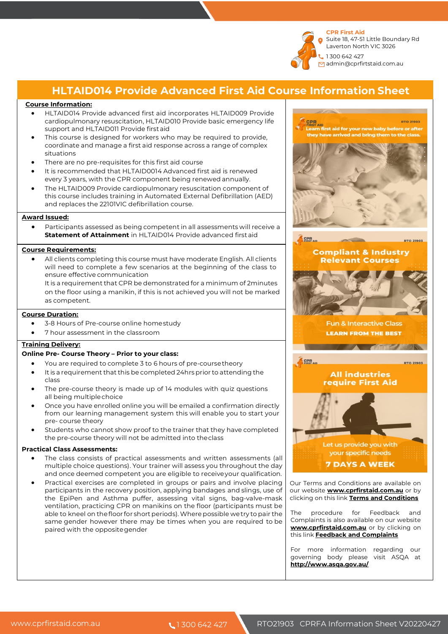

### **HLTAID014 Provide Advanced First Aid Course Information Sheet**

### **Course Information:**

- HLTAID014 Provide advanced first aid incorporates HLTAID009 Provide cardiopulmonary resuscitation, HLTAID010 Provide basic emergency life support and HLTAID011 Provide firstaid
- This course is designed for workers who may be required to provide. coordinate and manage a first aid response across a range of complex situations
- There are no pre-requisites for this first aid course
- It is recommended that HLTAID0014 Advanced first aid is renewed every 3 years, with the CPR component being renewed annually.
- The HLTAID009 Provide cardiopulmonary resuscitation component of this course includes training in Automated External Defibrillation (AED) and replaces the 22101VIC defibrillation course.

#### **Award Issued:**

• Participants assessed as being competent in all assessments will receive a **Statement of Attainment** in HLTAID014 Provide advanced firstaid

### **Course Requirements:**

• All clients completing this course must have moderate English. All clients will need to complete a few scenarios at the beginning of the class to ensure effective communication

It is a requirement that CPR be demonstrated for a minimum of 2minutes on the floor using a manikin, if this is not achieved you will not be marked as competent.

#### **Course Duration:**

- 3-8 Hours of Pre-course online homestudy
- 7 hour assessment in the classroom

### **Training Delivery:**

#### **Online Pre- Course Theory – Prior to your class:**

- You are required to complete 3 to 6 hours of pre-coursetheory
- It is a requirement that this be completed 24hrs prior to attending the class
- The pre-course theory is made up of 14 modules with quiz questions all being multiplechoice
- Once you have enrolled online you will be emailed a confirmation directly from our learning management system this will enable you to start your pre- course theory
- Students who cannot show proof to the trainer that they have completed the pre-course theory will not be admitted into theclass

#### **Practical Class Assessments:**

- The class consists of practical assessments and written assessments (all multiple choice questions). Your trainer will assess you throughout the day and once deemed competent you are eligible to receiveyour qualification.
- Practical exercises are completed in groups or pairs and involve placing participants in the recovery position, applying bandages and slings, use of the EpiPen and Asthma puffer, assessing vital signs, bag-valve-mask ventilation, practicing CPR on manikins on the floor (participants must be able to kneel on the floor for short periods). Where possible we try to pair the same gender however there may be times when you are required to be paired with the oppositegender



Our Terms and Conditions are available on our website **www.cprfirstaid.com.au** or by clicking on this link **Terms and Conditions**

The procedure for Feedback and Complaints is also available on our website **www.cprfirstaid.com.au** or by clicking on this link **Feedback and Complaints**

For more information regarding our governing body please visit ASQA at **http://www.asqa.gov.au/**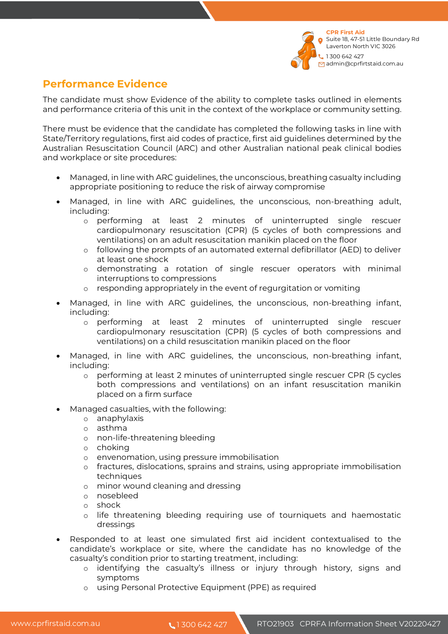

# **Performance Evidence**

The candidate must show Evidence of the ability to complete tasks outlined in elements and performance criteria of this unit in the context of the workplace or community setting.

There must be evidence that the candidate has completed the following tasks in line with State/Territory regulations, first aid codes of practice, first aid guidelines determined by the Australian Resuscitation Council (ARC) and other Australian national peak clinical bodies and workplace or site procedures:

- Managed, in line with ARC guidelines, the unconscious, breathing casualty including appropriate positioning to reduce the risk of airway compromise
- Managed, in line with ARC guidelines, the unconscious, non-breathing adult, including:
	- o performing at least 2 minutes of uninterrupted single rescuer cardiopulmonary resuscitation (CPR) (5 cycles of both compressions and ventilations) on an adult resuscitation manikin placed on the floor
	- o following the prompts of an automated external defibrillator (AED) to deliver at least one shock
	- o demonstrating a rotation of single rescuer operators with minimal interruptions to compressions
	- o responding appropriately in the event of regurgitation or vomiting
- Managed, in line with ARC guidelines, the unconscious, non-breathing infant, including:
	- o performing at least 2 minutes of uninterrupted single rescuer cardiopulmonary resuscitation (CPR) (5 cycles of both compressions and ventilations) on a child resuscitation manikin placed on the floor
- Managed, in line with ARC guidelines, the unconscious, non-breathing infant, including:
	- o performing at least 2 minutes of uninterrupted single rescuer CPR (5 cycles both compressions and ventilations) on an infant resuscitation manikin placed on a firm surface
- Managed casualties, with the following:
	- o anaphylaxis
	- o asthma
	- o non-life-threatening bleeding
	- o choking
	- o envenomation, using pressure immobilisation
	- o fractures, dislocations, sprains and strains, using appropriate immobilisation techniques
	- o minor wound cleaning and dressing
	- o nosebleed
	- o shock
	- o life threatening bleeding requiring use of tourniquets and haemostatic dressings
- Responded to at least one simulated first aid incident contextualised to the candidate's workplace or site, where the candidate has no knowledge of the casualty's condition prior to starting treatment, including:
	- o identifying the casualty's illness or injury through history, signs and symptoms
	- o using Personal Protective Equipment (PPE) as required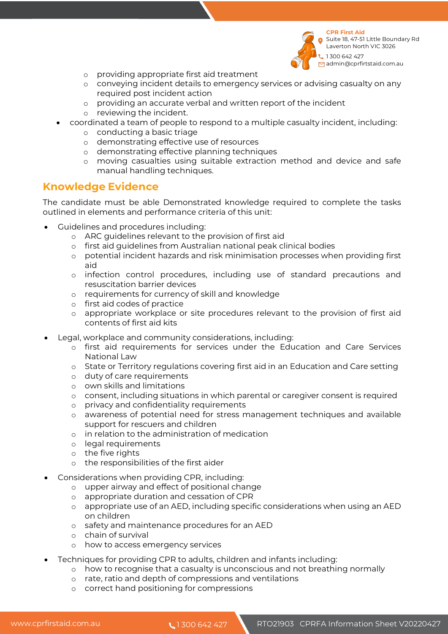

**CPR First Aid**  Suite 18, 47-51 Little Boundary Rd Laverton North VIC 3026 1 300 642 427 admin@cprfirtstaid.com.au

- o providing appropriate first aid treatment
- o conveying incident details to emergency services or advising casualty on any required post incident action
- o providing an accurate verbal and written report of the incident
- o reviewing the incident.
- coordinated a team of people to respond to a multiple casualty incident, including:
	- o conducting a basic triage
	- o demonstrating effective use of resources
	- o demonstrating effective planning techniques
	- o moving casualties using suitable extraction method and device and safe manual handling techniques.

### **Knowledge Evidence**

The candidate must be able Demonstrated knowledge required to complete the tasks outlined in elements and performance criteria of this unit:

- Guidelines and procedures including:
	- o ARC guidelines relevant to the provision of first aid
	- o first aid guidelines from Australian national peak clinical bodies
	- o potential incident hazards and risk minimisation processes when providing first aid
	- o infection control procedures, including use of standard precautions and resuscitation barrier devices
	- o requirements for currency of skill and knowledge
	- o first aid codes of practice
	- o appropriate workplace or site procedures relevant to the provision of first aid contents of first aid kits
- Legal, workplace and community considerations, including:
	- o first aid requirements for services under the Education and Care Services National Law
	- o State or Territory regulations covering first aid in an Education and Care setting
	- o duty of care requirements
	- o own skills and limitations
	- o consent, including situations in which parental or caregiver consent is required
	- o privacy and confidentiality requirements
	- o awareness of potential need for stress management techniques and available support for rescuers and children
	- o in relation to the administration of medication
	- o legal requirements
	- o the five rights
	- o the responsibilities of the first aider
- Considerations when providing CPR, including:
	- o upper airway and effect of positional change
	- o appropriate duration and cessation of CPR
	- o appropriate use of an AED, including specific considerations when using an AED on children
	- o safety and maintenance procedures for an AED
	- o chain of survival
	- o how to access emergency services
	- Techniques for providing CPR to adults, children and infants including:
		- o how to recognise that a casualty is unconscious and not breathing normally
		- o rate, ratio and depth of compressions and ventilations
		- o correct hand positioning for compressions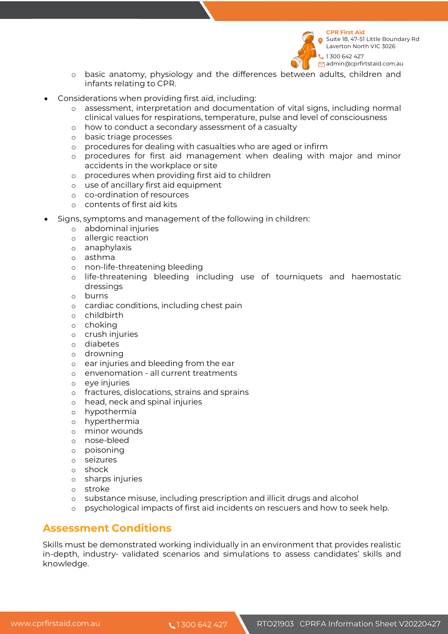

Suite 18, 47-51 Little Boundary Rd Laverton North VIC 3026 1 300 642 427

- diamin@cprfirtstaid.com.au
- o basic anatomy, physiology and the differences between adults, children and infants relating to CPR.
- Considerations when providing first aid, including:
	- o assessment, interpretation and documentation of vital signs, including normal clinical values for respirations, temperature, pulse and level of consciousness
	- o how to conduct a secondary assessment of a casualty
	- o basic triage processes
	- o procedures for dealing with casualties who are aged or infirm
	- o procedures for first aid management when dealing with major and minor accidents in the workplace or site
	- o procedures when providing first aid to children
	- o use of ancillary first aid equipment
	- o co-ordination of resources
	- o contents of first aid kits
- Signs, symptoms and management of the following in children:
	- o abdominal injuries
	- o allergic reaction
	- o anaphylaxis
	- o asthma
	- o non-life-threatening bleeding
	- o life-threatening bleeding including use of tourniquets and haemostatic dressings
	- o burns
	- o cardiac conditions, including chest pain
	- o childbirth
	- o choking
	- o crush injuries
	- o diabetes
	- o drowning
	- o ear injuries and bleeding from the ear
	- o envenomation all current treatments
	- o eye injuries
	- o fractures, dislocations, strains and sprains
	- o head, neck and spinal injuries
	- o hypothermia
	- o hyperthermia
	- o minor wounds
	- o nose-bleed
	- o poisoning
	- o seizures
	- o shock
	- o sharps injuries
	- o stroke
	- o substance misuse, including prescription and illicit drugs and alcohol
	- o psychological impacts of first aid incidents on rescuers and how to seek help.

# **Assessment Conditions**

Skills must be demonstrated working individually in an environment that provides realistic in-depth, industry- validated scenarios and simulations to assess candidates' skills and knowledge.